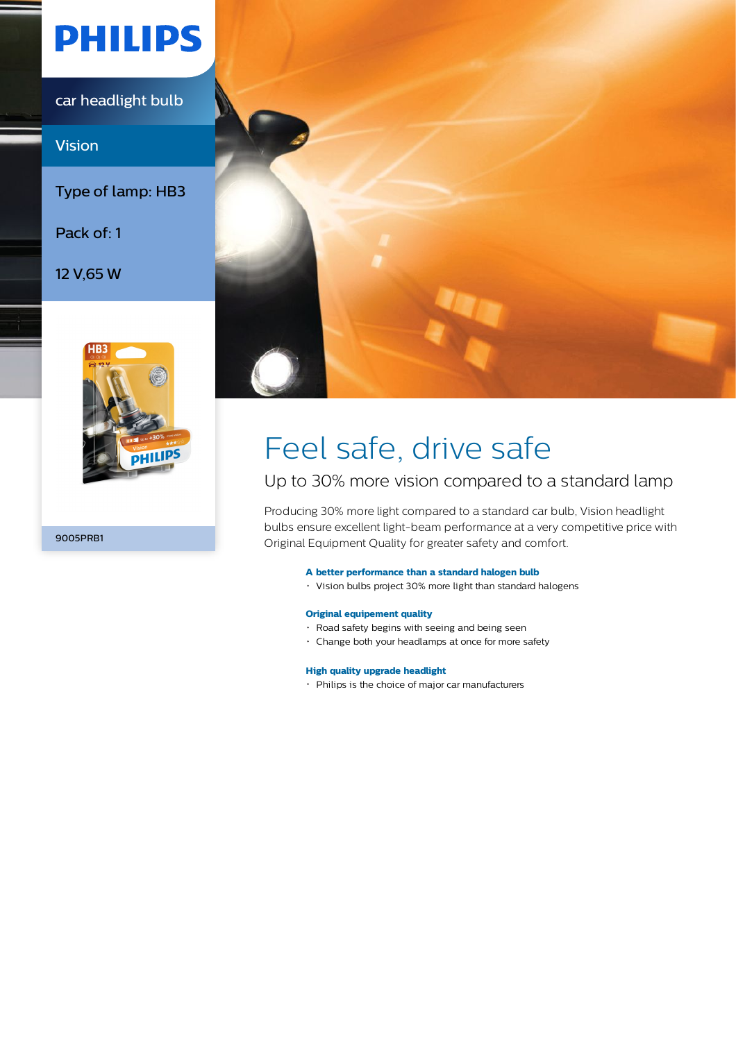# **PHILIPS**

car headlight bulb

Vision

Type of lamp: HB3

Pack of: 1

12 V,65 W



9005PRB1



# Feel safe, drive safe

## Up to 30% more vision compared to a standard lamp

Producing 30% more light compared to a standard car bulb, Vision headlight bulbs ensure excellent light-beam performance at a very competitive price with Original Equipment Quality for greater safety and comfort.

### **A better performance than a standard halogen bulb**

Vision bulbs project 30% more light than standard halogens

### **Original equipement quality**

- Road safety begins with seeing and being seen
- Change both your headlamps at once for more safety

### **High quality upgrade headlight**

Philips is the choice of major car manufacturers